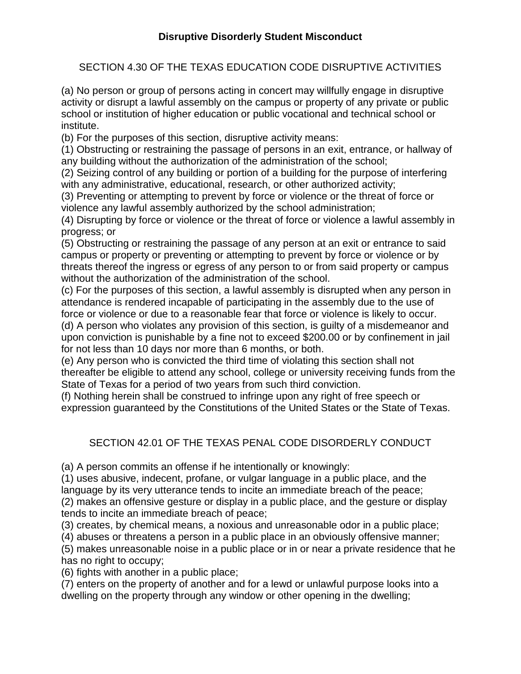SECTION 4.30 OF THE TEXAS EDUCATION CODE DISRUPTIVE ACTIVITIES

(a) No person or group of persons acting in concert may willfully engage in disruptive activity or disrupt a lawful assembly on the campus or property of any private or public school or institution of higher education or public vocational and technical school or institute.

(b) For the purposes of this section, disruptive activity means:

(1) Obstructing or restraining the passage of persons in an exit, entrance, or hallway of any building without the authorization of the administration of the school;

(2) Seizing control of any building or portion of a building for the purpose of interfering with any administrative, educational, research, or other authorized activity;

(3) Preventing or attempting to prevent by force or violence or the threat of force or violence any lawful assembly authorized by the school administration;

(4) Disrupting by force or violence or the threat of force or violence a lawful assembly in progress; or

(5) Obstructing or restraining the passage of any person at an exit or entrance to said campus or property or preventing or attempting to prevent by force or violence or by threats thereof the ingress or egress of any person to or from said property or campus without the authorization of the administration of the school.

(c) For the purposes of this section, a lawful assembly is disrupted when any person in attendance is rendered incapable of participating in the assembly due to the use of force or violence or due to a reasonable fear that force or violence is likely to occur.

(d) A person who violates any provision of this section, is guilty of a misdemeanor and upon conviction is punishable by a fine not to exceed \$200.00 or by confinement in jail for not less than 10 days nor more than 6 months, or both.

(e) Any person who is convicted the third time of violating this section shall not thereafter be eligible to attend any school, college or university receiving funds from the State of Texas for a period of two years from such third conviction.

(f) Nothing herein shall be construed to infringe upon any right of free speech or expression guaranteed by the Constitutions of the United States or the State of Texas.

# SECTION 42.01 OF THE TEXAS PENAL CODE DISORDERLY CONDUCT

(a) A person commits an offense if he intentionally or knowingly:

(1) uses abusive, indecent, profane, or vulgar language in a public place, and the language by its very utterance tends to incite an immediate breach of the peace;

(2) makes an offensive gesture or display in a public place, and the gesture or display tends to incite an immediate breach of peace;

(3) creates, by chemical means, a noxious and unreasonable odor in a public place;

(4) abuses or threatens a person in a public place in an obviously offensive manner;

(5) makes unreasonable noise in a public place or in or near a private residence that he has no right to occupy;

(6) fights with another in a public place;

(7) enters on the property of another and for a lewd or unlawful purpose looks into a dwelling on the property through any window or other opening in the dwelling;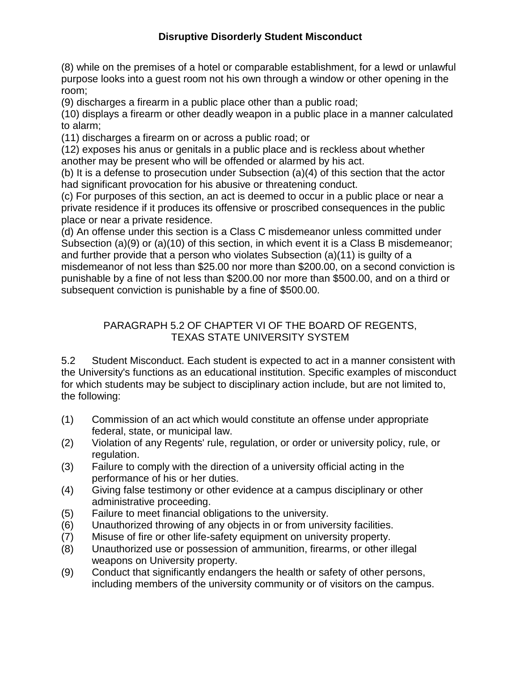# **Disruptive Disorderly Student Misconduct**

(8) while on the premises of a hotel or comparable establishment, for a lewd or unlawful purpose looks into a guest room not his own through a window or other opening in the room;

(9) discharges a firearm in a public place other than a public road;

(10) displays a firearm or other deadly weapon in a public place in a manner calculated to alarm;

(11) discharges a firearm on or across a public road; or

(12) exposes his anus or genitals in a public place and is reckless about whether another may be present who will be offended or alarmed by his act.

(b) It is a defense to prosecution under Subsection (a)(4) of this section that the actor had significant provocation for his abusive or threatening conduct.

(c) For purposes of this section, an act is deemed to occur in a public place or near a private residence if it produces its offensive or proscribed consequences in the public place or near a private residence.

(d) An offense under this section is a Class C misdemeanor unless committed under Subsection (a)(9) or (a)(10) of this section, in which event it is a Class B misdemeanor; and further provide that a person who violates Subsection (a)(11) is guilty of a misdemeanor of not less than \$25.00 nor more than \$200.00, on a second conviction is punishable by a fine of not less than \$200.00 nor more than \$500.00, and on a third or subsequent conviction is punishable by a fine of \$500.00.

#### PARAGRAPH 5.2 OF CHAPTER VI OF THE BOARD OF REGENTS, TEXAS STATE UNIVERSITY SYSTEM

5.2 Student Misconduct. Each student is expected to act in a manner consistent with the University's functions as an educational institution. Specific examples of misconduct for which students may be subject to disciplinary action include, but are not limited to, the following:

- (1) Commission of an act which would constitute an offense under appropriate federal, state, or municipal law.
- (2) Violation of any Regents' rule, regulation, or order or university policy, rule, or regulation.
- (3) Failure to comply with the direction of a university official acting in the performance of his or her duties.
- (4) Giving false testimony or other evidence at a campus disciplinary or other administrative proceeding.
- (5) Failure to meet financial obligations to the university.
- (6) Unauthorized throwing of any objects in or from university facilities.
- (7) Misuse of fire or other life-safety equipment on university property.
- (8) Unauthorized use or possession of ammunition, firearms, or other illegal weapons on University property.
- (9) Conduct that significantly endangers the health or safety of other persons, including members of the university community or of visitors on the campus.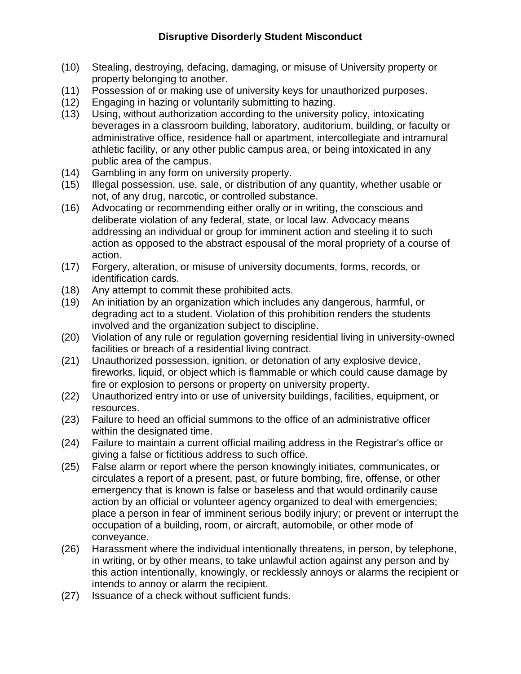## **Disruptive Disorderly Student Misconduct**

- (10) Stealing, destroying, defacing, damaging, or misuse of University property or property belonging to another.
- (11) Possession of or making use of university keys for unauthorized purposes.
- (12) Engaging in hazing or voluntarily submitting to hazing.
- (13) Using, without authorization according to the university policy, intoxicating beverages in a classroom building, laboratory, auditorium, building, or faculty or administrative office, residence hall or apartment, intercollegiate and intramural athletic facility, or any other public campus area, or being intoxicated in any public area of the campus.
- (14) Gambling in any form on university property.
- (15) Illegal possession, use, sale, or distribution of any quantity, whether usable or not, of any drug, narcotic, or controlled substance.
- (16) Advocating or recommending either orally or in writing, the conscious and deliberate violation of any federal, state, or local law. Advocacy means addressing an individual or group for imminent action and steeling it to such action as opposed to the abstract espousal of the moral propriety of a course of action.
- (17) Forgery, alteration, or misuse of university documents, forms, records, or identification cards.
- (18) Any attempt to commit these prohibited acts.
- (19) An initiation by an organization which includes any dangerous, harmful, or degrading act to a student. Violation of this prohibition renders the students involved and the organization subject to discipline.
- (20) Violation of any rule or regulation governing residential living in university-owned facilities or breach of a residential living contract.
- (21) Unauthorized possession, ignition, or detonation of any explosive device, fireworks, liquid, or object which is flammable or which could cause damage by fire or explosion to persons or property on university property.
- (22) Unauthorized entry into or use of university buildings, facilities, equipment, or resources.
- (23) Failure to heed an official summons to the office of an administrative officer within the designated time.
- (24) Failure to maintain a current official mailing address in the Registrar's office or giving a false or fictitious address to such office.
- (25) False alarm or report where the person knowingly initiates, communicates, or circulates a report of a present, past, or future bombing, fire, offense, or other emergency that is known is false or baseless and that would ordinarily cause action by an official or volunteer agency organized to deal with emergencies; place a person in fear of imminent serious bodily injury; or prevent or interrupt the occupation of a building, room, or aircraft, automobile, or other mode of conveyance.
- (26) Harassment where the individual intentionally threatens, in person, by telephone, in writing, or by other means, to take unlawful action against any person and by this action intentionally, knowingly, or recklessly annoys or alarms the recipient or intends to annoy or alarm the recipient.
- (27) Issuance of a check without sufficient funds.